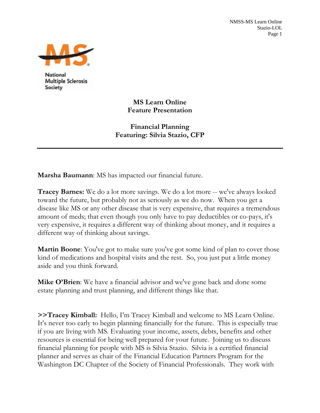NMSS-MS Learn Online Stazio-LOL Page 1



National **Multiple Sclerosis** Society

> **MS Learn Online Feature Presentation**

**Financial Planning Featuring: Silvia Stazio, CFP** 

**Marsha Baumann**: MS has impacted our financial future.

**Tracey Barnes:** We do a lot more savings. We do a lot more -- we've always looked toward the future, but probably not as seriously as we do now. When you get a disease like MS or any other disease that is very expensive, that requires a tremendous amount of meds; that even though you only have to pay deductibles or co-pays, it's very expensive, it requires a different way of thinking about money, and it requires a different way of thinking about savings.

**Martin Boone**: You've got to make sure you've got some kind of plan to cover those kind of medications and hospital visits and the rest. So, you just put a little money aside and you think forward.

**Mike O'Brien**: We have a financial advisor and we've gone back and done some estate planning and trust planning, and different things like that.

**>>Tracey Kimball:** Hello, I'm Tracey Kimball and welcome to MS Learn Online. It's never too early to begin planning financially for the future. This is especially true if you are living with MS. Evaluating your income, assets, debts, benefits and other resources is essential for being well prepared for your future. Joining us to discuss financial planning for people with MS is Silvia Stazio. Silvia is a certified financial planner and serves as chair of the Financial Education Partners Program for the Washington DC Chapter of the Society of Financial Professionals. They work with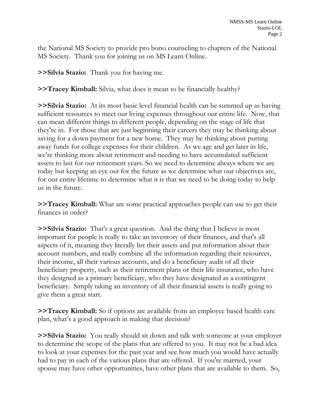the National MS Society to provide pro bono counseling to chapters of the National MS Society. Thank you for joining us on MS Learn Online.

**>>Silvia Stazio:** Thank you for having me.

**>>Tracey Kimball:** Silvia, what does it mean to be financially healthy?

**>>Silvia Stazio:** At its most basic level financial health can be summed up as having sufficient resources to meet our living expenses throughout our entire life. Now, that can mean different things to different people, depending on the stage of life that they're in. For those that are just beginning their careers they may be thinking about saving for a down payment for a new home. They may be thinking about putting away funds for college expenses for their children. As we age and get later in life, we're thinking more about retirement and needing to have accumulated sufficient assets to last for our retirement years. So we need to determine always where we are today but keeping an eye out for the future as we determine what our objectives are, for our entire lifetime to determine what it is that we need to be doing today to help us in the future.

**>>Tracey Kimball:** What are some practical approaches people can use to get their finances in order?

**>>Silvia Stazio:** That's a great question. And the thing that I believe is most important for people is really to take an inventory of their finances, and that's all aspects of it, meaning they literally list their assets and put information about their account numbers, and really combine all the information regarding their resources, their income, all their various accounts, and do a beneficiary audit of all their beneficiary property, such as their retirement plans or their life insurance, who have they designed as a primary beneficiary, who they have designated as a contingent beneficiary.Simply taking an inventory of all their financial assets is really going to give them a great start.

**>>Tracey Kimball:** So if options are available from an employee based health care plan, what's a good approach in making that decision?

**>>Silvia Stazio:** You really should sit down and talk with someone at your employer to determine the scope of the plans that are offered to you. It may not be a bad idea to look at your expenses for the past year and see how much you would have actually had to pay in each of the various plans that are offered. If you're married, your spouse may have other opportunities, have other plans that are available to them. So,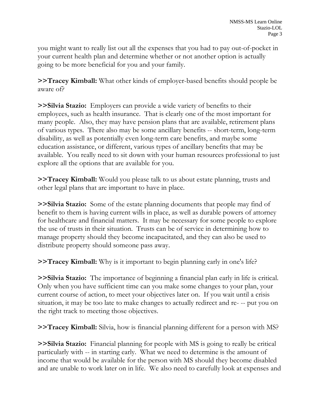you might want to really list out all the expenses that you had to pay out-of-pocket in your current health plan and determine whether or not another option is actually going to be more beneficial for you and your family.

**>>Tracey Kimball:** What other kinds of employer-based benefits should people be aware of?

**>>Silvia Stazio:** Employers can provide a wide variety of benefits to their employees, such as health insurance. That is clearly one of the most important for many people. Also, they may have pension plans that are available, retirement plans of various types. There also may be some ancillary benefits -- short-term, long-term disability, as well as potentially even long-term care benefits, and maybe some education assistance, or different, various types of ancillary benefits that may be available. You really need to sit down with your human resources professional to just explore all the options that are available for you.

**>>Tracey Kimball:** Would you please talk to us about estate planning, trusts and other legal plans that are important to have in place.

**>>Silvia Stazio:** Some of the estate planning documents that people may find of benefit to them is having current wills in place, as well as durable powers of attorney for healthcare and financial matters. It may be necessary for some people to explore the use of trusts in their situation. Trusts can be of service in determining how to manage property should they become incapacitated, and they can also be used to distribute property should someone pass away.

**>>Tracey Kimball:** Why is it important to begin planning early in one's life?

**>>Silvia Stazio:** The importance of beginning a financial plan early in life is critical. Only when you have sufficient time can you make some changes to your plan, your current course of action, to meet your objectives later on. If you wait until a crisis situation, it may be too late to make changes to actually redirect and re- -- put you on the right track to meeting those objectives.

**>>Tracey Kimball:** Silvia, how is financial planning different for a person with MS?

**>>Silvia Stazio:** Financial planning for people with MS is going to really be critical particularly with -- in starting early. What we need to determine is the amount of income that would be available for the person with MS should they become disabled and are unable to work later on in life. We also need to carefully look at expenses and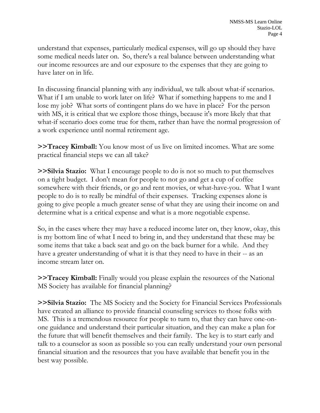understand that expenses, particularly medical expenses, will go up should they have some medical needs later on. So, there's a real balance between understanding what our income resources are and our exposure to the expenses that they are going to have later on in life.

In discussing financial planning with any individual, we talk about what-if scenarios. What if I am unable to work later on life? What if something happens to me and I lose my job? What sorts of contingent plans do we have in place? For the person with MS, it is critical that we explore those things, because it's more likely that that what-if scenario does come true for them, rather than have the normal progression of a work experience until normal retirement age.

**>>Tracey Kimball:** You know most of us live on limited incomes. What are some practical financial steps we can all take?

**>>Silvia Stazio:** What I encourage people to do is not so much to put themselves on a tight budget. I don't mean for people to not go and get a cup of coffee somewhere with their friends, or go and rent movies, or what-have-you. What I want people to do is to really be mindful of their expenses. Tracking expenses alone is going to give people a much greater sense of what they are using their income on and determine what is a critical expense and what is a more negotiable expense.

So, in the cases where they may have a reduced income later on, they know, okay, this is my bottom line of what I need to bring in, and they understand that these may be some items that take a back seat and go on the back burner for a while. And they have a greater understanding of what it is that they need to have in their -- as an income stream later on.

**>>Tracey Kimball:** Finally would you please explain the resources of the National MS Society has available for financial planning?

**>>Silvia Stazio:** The MS Society and the Society for Financial Services Professionals have created an alliance to provide financial counseling services to those folks with MS. This is a tremendous resource for people to turn to, that they can have one-onone guidance and understand their particular situation, and they can make a plan for the future that will benefit themselves and their family. The key is to start early and talk to a counselor as soon as possible so you can really understand your own personal financial situation and the resources that you have available that benefit you in the best way possible.